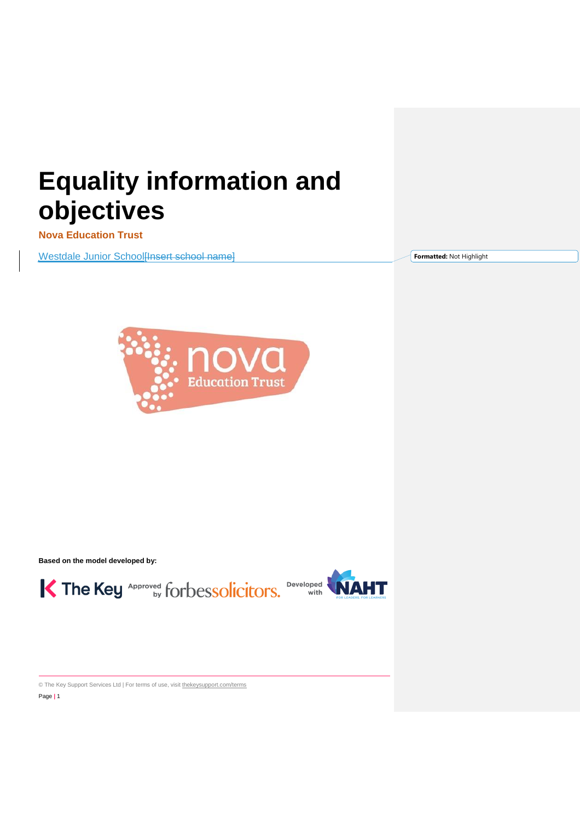# **Equality information and objectives**

**Nova Education Trust** 

Westdale Junior School[Insert school name]

**Formatted:** Not Highlight



**Based on the model developed by:**





© The Key Support Services Ltd | For terms of use, visit [thekeysupport.com/terms](https://thekeysupport.com/terms-of-use) Page **|** 1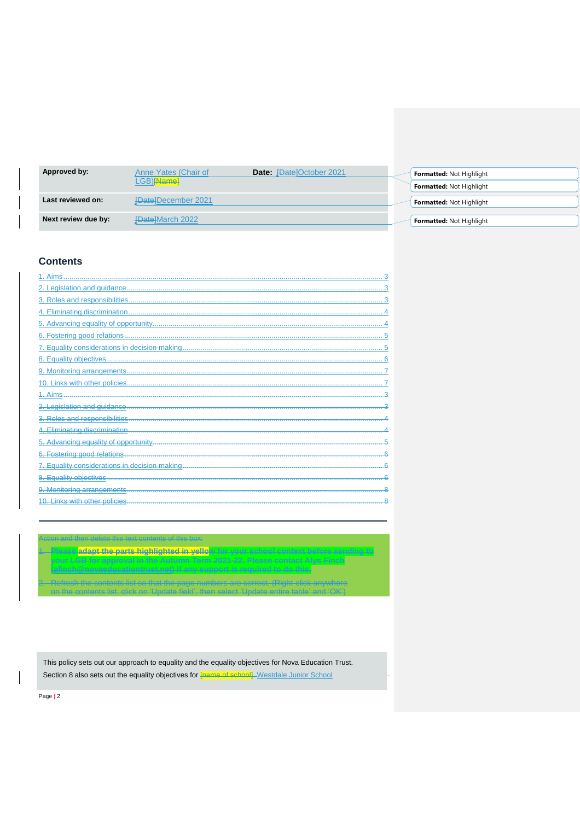| Approved by:        | Anne Yates (Chair of<br>LGB) <del>[Name]</del> | <b>Date:</b> PatelOctober 2021 | <b>Formatted: Not Highlight</b><br><b>Formatted: Not Highlight</b> |
|---------------------|------------------------------------------------|--------------------------------|--------------------------------------------------------------------|
| Last reviewed on:   | <b>FDatelDecember 2021</b>                     |                                | <b>Formatted: Not Highlight</b>                                    |
| Next review due by: | <b>FDate]March 2022</b>                        |                                | Formatted: Not Highlight                                           |

# **Contents**

| 1. Aims                                     |  |
|---------------------------------------------|--|
|                                             |  |
|                                             |  |
|                                             |  |
|                                             |  |
|                                             |  |
|                                             |  |
|                                             |  |
|                                             |  |
|                                             |  |
| 1. Aims                                     |  |
|                                             |  |
| 3. Roles and responsibilities               |  |
|                                             |  |
| Advancing equality of opportunity           |  |
| 6. Fostering good relations                 |  |
| Equality considerations in decision-making. |  |
| 8. Equality objectives                      |  |
| 9. Monitoring arrangements                  |  |
| <b>Links with other policies</b>            |  |

| Action and thon doloto this toyt contonts of th                                                                                                    |
|----------------------------------------------------------------------------------------------------------------------------------------------------|
|                                                                                                                                                    |
|                                                                                                                                                    |
| Plases adant the narte highlighted in vallow for your school contact hefore sending                                                                |
| <mark>me pane mgmighteti in yene</mark> pan <sub>y</sub> yen saatusratantast usidi Schlahlg-la                                                     |
| our LGB for annroyal in the Autumn Term 2021-22. Please contact Alve Einch<br>var 200 tot applovar in dio madamm 10HH 2021 22. FICASC COH(dot NI)S |
|                                                                                                                                                    |
| afineh Mnovaeduostiontrust not) if any cunnort is required to de this                                                                              |
| <del>vativitiraotitve, iraity oupport lo legan su tvo atra,</del>                                                                                  |
|                                                                                                                                                    |
| nte liet eo that the nago numbers are serrect. (Pight click anywhere                                                                               |
|                                                                                                                                                    |
| n the contente liet, eligh en 4 Indete field, then select 4 Indete entire tehle                                                                    |
|                                                                                                                                                    |

This policy sets out our approach to equality and the equality objectives for Nova Education Trust. Section 8 also sets out the equality objectives for **[name of school]**. Westdale Junior School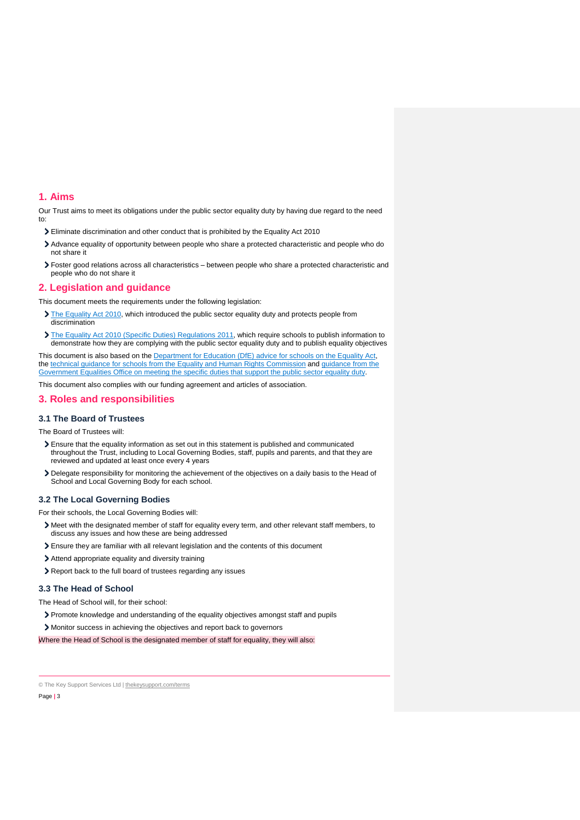# <span id="page-2-0"></span>**1. Aims**

Our Trust aims to meet its obligations under the public sector equality duty by having due regard to the need to:

- Eliminate discrimination and other conduct that is prohibited by the Equality Act 2010
- Advance equality of opportunity between people who share a protected characteristic and people who do not share it
- Foster good relations across all characteristics between people who share a protected characteristic and people who do not share it

#### <span id="page-2-1"></span>**2. Legislation and guidance**

This document meets the requirements under the following legislation:

- [The Equality Act 2010,](http://www.legislation.gov.uk/ukpga/2010/15/contents) which introduced the public sector equality duty and protects people from discrimination
- [The Equality Act 2010 \(Specific Duties\) Regulations 2011,](http://www.legislation.gov.uk/uksi/2011/2260/contents/made) which require schools to publish information to demonstrate how they are complying with the public sector equality duty and to publish equality objectives

This document is also based on the [Department for Education \(DfE\) advice for schools on the](https://www.gov.uk/government/publications/equality-act-2010-advice-for-schools) Equality Act, the [technical guidance for schools from the Equality and Human Rights Commission](https://www.equalityhumanrights.com/en/publication-download/technical-guidance-schools-england) and [guidance from the](https://www.gov.uk/government/publications/public-sector-quick-start-guide-to-the-specific-duties)  Government Equalities Office on meeting the specific duties that support the public sector equality duty.

This document also complies with our funding agreement and articles of association.

# <span id="page-2-2"></span>**3. Roles and responsibilities**

# **3.1 The Board of Trustees**

The Board of Trustees will:

- Ensure that the equality information as set out in this statement is published and communicated throughout the Trust, including to Local Governing Bodies, staff, pupils and parents, and that they are reviewed and updated at least once every 4 years
- Delegate responsibility for monitoring the achievement of the objectives on a daily basis to the Head of School and Local Governing Body for each school.

#### **3.2 The Local Governing Bodies**

For their schools, the Local Governing Bodies will:

- Meet with the designated member of staff for equality every term, and other relevant staff members, to discuss any issues and how these are being addressed
- Ensure they are familiar with all relevant legislation and the contents of this document
- Attend appropriate equality and diversity training
- Report back to the full board of trustees regarding any issues

#### **3.3 The Head of School**

The Head of School will, for their school:

Promote knowledge and understanding of the equality objectives amongst staff and pupils

Monitor success in achieving the objectives and report back to governors

Where the Head of School is the designated member of staff for equality, they will also:

© The Key Support Services Ltd | [thekeysupport.com/terms](https://thekeysupport.com/terms-of-use)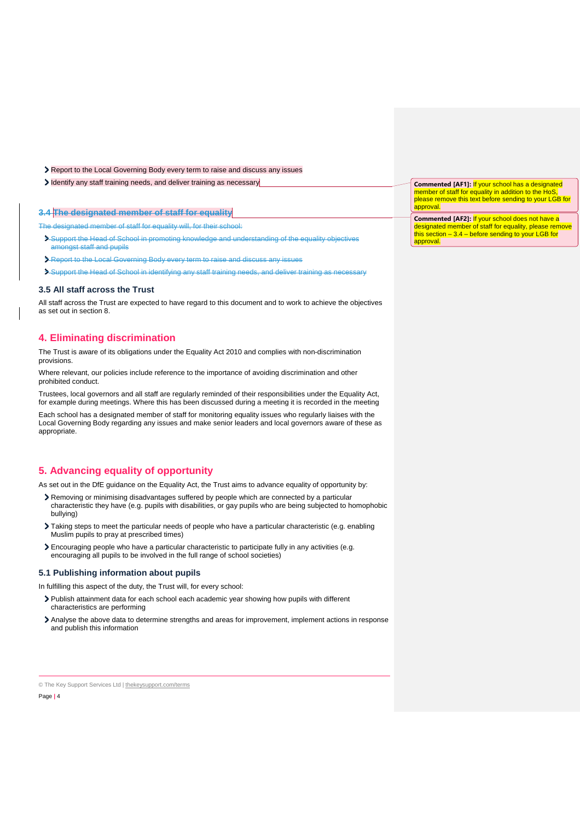- Report to the Local Governing Body every term to raise and discuss any issues
- Identify any staff training needs, and deliver training as necessary

# **3.4 The designated member of staff for equality**

The designated member of staff for equality will, for their school:

- Support the Head of School in promoting knowledge and understanding of the equality objectives amongst staff and pupils
- Report to the Local Governing Body every term to raise and discuss any issues
- Support the Head of School in identifying any staff training needs, and deliver training as necessary

#### **3.5 All staff across the Trust**

All staff across the Trust are expected to have regard to this document and to work to achieve the objectives as set out in section 8.

# <span id="page-3-0"></span>**4. Eliminating discrimination**

The Trust is aware of its obligations under the Equality Act 2010 and complies with non-discrimination provisions.

Where relevant, our policies include reference to the importance of avoiding discrimination and other prohibited conduct.

Trustees, local governors and all staff are regularly reminded of their responsibilities under the Equality Act, for example during meetings. Where this has been discussed during a meeting it is recorded in the meeting

Each school has a designated member of staff for monitoring equality issues who regularly liaises with the Local Governing Body regarding any issues and make senior leaders and local governors aware of these as appropriate.

# <span id="page-3-1"></span>**5. Advancing equality of opportunity**

As set out in the DfE guidance on the Equality Act, the Trust aims to advance equality of opportunity by:

- Removing or minimising disadvantages suffered by people which are connected by a particular characteristic they have (e.g. pupils with disabilities, or gay pupils who are being subjected to homophobic bullying)
- Taking steps to meet the particular needs of people who have a particular characteristic (e.g. enabling Muslim pupils to pray at prescribed times)
- Encouraging people who have a particular characteristic to participate fully in any activities (e.g. encouraging all pupils to be involved in the full range of school societies)

#### **5.1 Publishing information about pupils**

In fulfilling this aspect of the duty, the Trust will, for every school:

- Publish attainment data for each school each academic year showing how pupils with different characteristics are performing
- Analyse the above data to determine strengths and areas for improvement, implement actions in response and publish this information

| Commented [AF1]: If your school has a designated       |
|--------------------------------------------------------|
| member of staff for equality in addition to the HoS.   |
| please remove this text before sending to your LGB for |
| approval.                                              |
|                                                        |
| Commented [AF2]: If your school does not have a        |
| designated member of staff for equality, please remove |
| this section $-3.4$ – before sending to your LGB for   |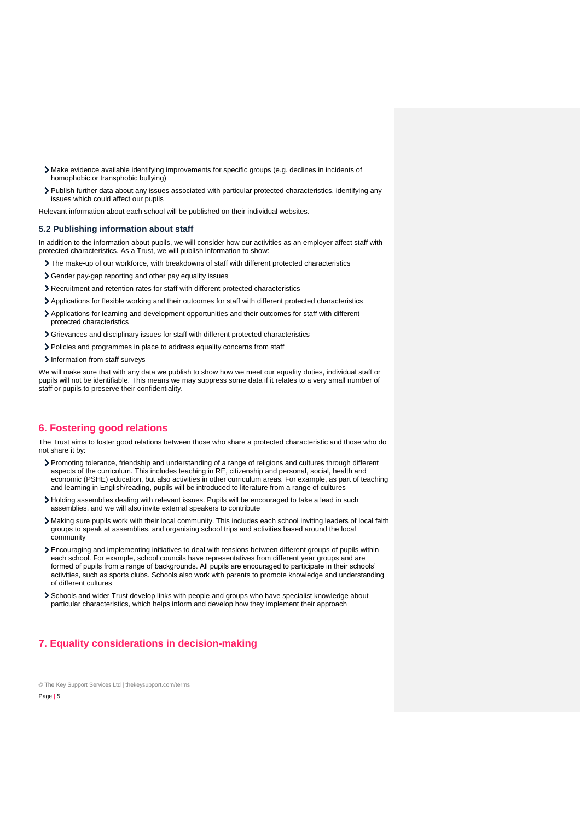- Make evidence available identifying improvements for specific groups (e.g. declines in incidents of homophobic or transphobic bullying)
- Publish further data about any issues associated with particular protected characteristics, identifying any issues which could affect our pupils

Relevant information about each school will be published on their individual websites.

## **5.2 Publishing information about staff**

In addition to the information about pupils, we will consider how our activities as an employer affect staff with protected characteristics. As a Trust, we will publish information to show:

- The make-up of our workforce, with breakdowns of staff with different protected characteristics
- Gender pay-gap reporting and other pay equality issues
- Recruitment and retention rates for staff with different protected characteristics
- Applications for flexible working and their outcomes for staff with different protected characteristics
- Applications for learning and development opportunities and their outcomes for staff with different protected characteristics
- Grievances and disciplinary issues for staff with different protected characteristics
- Policies and programmes in place to address equality concerns from staff
- > Information from staff surveys

We will make sure that with any data we publish to show how we meet our equality duties, individual staff or pupils will not be identifiable. This means we may suppress some data if it relates to a very small number of staff or pupils to preserve their confidentiality.

# <span id="page-4-0"></span>**6. Fostering good relations**

The Trust aims to foster good relations between those who share a protected characteristic and those who do not share it by:

- Promoting tolerance, friendship and understanding of a range of religions and cultures through different aspects of the curriculum. This includes teaching in RE, citizenship and personal, social, health and economic (PSHE) education, but also activities in other curriculum areas. For example, as part of teaching and learning in English/reading, pupils will be introduced to literature from a range of cultures
- Holding assemblies dealing with relevant issues. Pupils will be encouraged to take a lead in such assemblies, and we will also invite external speakers to contribute
- Making sure pupils work with their local community. This includes each school inviting leaders of local faith groups to speak at assemblies, and organising school trips and activities based around the local community
- Encouraging and implementing initiatives to deal with tensions between different groups of pupils within each school. For example, school councils have representatives from different year groups and are formed of pupils from a range of backgrounds. All pupils are encouraged to participate in their schools' activities, such as sports clubs. Schools also work with parents to promote knowledge and understanding of different cultures
- Schools and wider Trust develop links with people and groups who have specialist knowledge about particular characteristics, which helps inform and develop how they implement their approach

# <span id="page-4-1"></span>**7. Equality considerations in decision-making**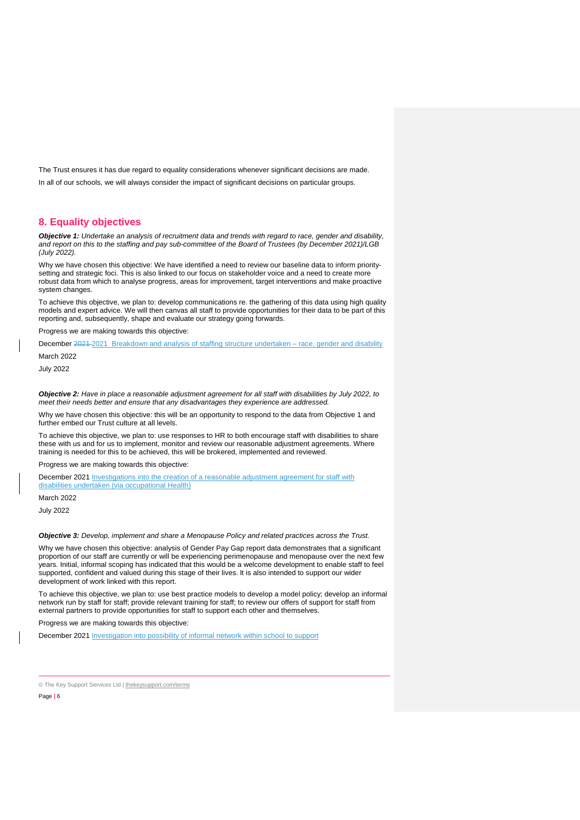The Trust ensures it has due regard to equality considerations whenever significant decisions are made. In all of our schools, we will always consider the impact of significant decisions on particular groups.

# <span id="page-5-0"></span>**8. Equality objectives**

*Objective 1: Undertake an analysis of recruitment data and trends with regard to race, gender and disability, and report on this to the staffing and pay sub-committee of the Board of Trustees (by December 2021)/LGB (July 2022).*

Why we have chosen this objective: We have identified a need to review our baseline data to inform prioritysetting and strategic foci. This is also linked to our focus on stakeholder voice and a need to create more robust data from which to analyse progress, areas for improvement, target interventions and make proactive system changes.

To achieve this objective, we plan to: develop communications re. the gathering of this data using high quality models and expert advice. We will then canvas all staff to provide opportunities for their data to be part of this reporting and, subsequently, shape and evaluate our strategy going forwards.

Progress we are making towards this objective:

December 2021-2021 Breakdown and analysis of staffing structure undertaken – race, gender and disability

March 2022 July 2022

*Objective 2: Have in place a reasonable adjustment agreement for all staff with disabilities by July 2022, to meet their needs better and ensure that any disadvantages they experience are addressed.*

Why we have chosen this objective: this will be an opportunity to respond to the data from Objective 1 and further embed our Trust culture at all levels.

To achieve this objective, we plan to: use responses to HR to both encourage staff with disabilities to share these with us and for us to implement, monitor and review our reasonable adjustment agreements. Where training is needed for this to be achieved, this will be brokered, implemented and reviewed.

Progress we are making towards this objective:

December 2021 Investigations into the creation of a reasonable adjustment agreement for staff with disabilities undertaken (via occupational Health)

March 2022

July 2022

*Objective 3: Develop, implement and share a Menopause Policy and related practices across the Trust.* 

Why we have chosen this objective: analysis of Gender Pay Gap report data demonstrates that a significant proportion of our staff are currently or will be experiencing perimenopause and menopause over the next few years. Initial, informal scoping has indicated that this would be a welcome development to enable staff to feel supported, confident and valued during this stage of their lives. It is also intended to support our wider development of work linked with this report.

To achieve this objective, we plan to: use best practice models to develop a model policy; develop an informal network run by staff for staff; provide relevant training for staff; to review our offers of support for staff from external partners to provide opportunities for staff to support each other and themselves.

Progress we are making towards this objective:

December 2021 Investigation into possibility of informal network within school to support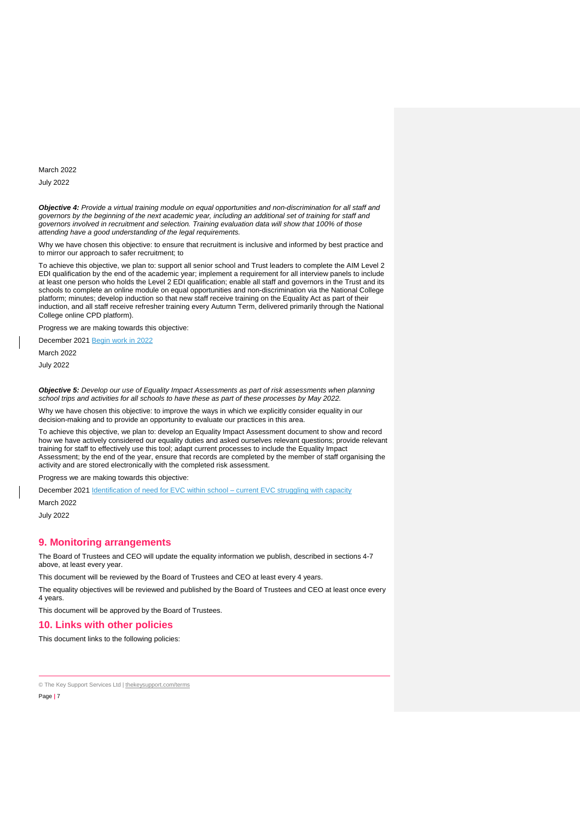March 2022

July 2022

*Objective 4: Provide a virtual training module on equal opportunities and non-discrimination for all staff and governors by the beginning of the next academic year, including an additional set of training for staff and governors involved in recruitment and selection. Training evaluation data will show that 100% of those attending have a good understanding of the legal requirements.*

Why we have chosen this objective: to ensure that recruitment is inclusive and informed by best practice and to mirror our approach to safer recruitment; to

To achieve this objective, we plan to: support all senior school and Trust leaders to complete the AIM Level 2 EDI qualification by the end of the academic year; implement a requirement for all interview panels to include at least one person who holds the Level 2 EDI qualification; enable all staff and governors in the Trust and its schools to complete an online module on equal opportunities and non-discrimination via the National College platform; minutes; develop induction so that new staff receive training on the Equality Act as part of their induction, and all staff receive refresher training every Autumn Term, delivered primarily through the National College online CPD platform).

Progress we are making towards this objective:

December 2021 Begin work in 2022

March 2022

July 2022

*Objective 5: Develop our use of Equality Impact Assessments as part of risk assessments when planning school trips and activities for all schools to have these as part of these processes by May 2022.* 

Why we have chosen this objective: to improve the ways in which we explicitly consider equality in our decision-making and to provide an opportunity to evaluate our practices in this area.

To achieve this objective, we plan to: develop an Equality Impact Assessment document to show and record how we have actively considered our equality duties and asked ourselves relevant questions; provide relevant training for staff to effectively use this tool; adapt current processes to include the Equality Impact Assessment; by the end of the year, ensure that records are completed by the member of staff organising the activity and are stored electronically with the completed risk assessment.

Progress we are making towards this objective:

December 2021 Identification of need for EVC within school – current EVC struggling with capacity March 2022

July 2022

#### <span id="page-6-0"></span>**9. Monitoring arrangements**

The Board of Trustees and CEO will update the equality information we publish, described in sections 4-7 above, at least every year.

This document will be reviewed by the Board of Trustees and CEO at least every 4 years.

The equality objectives will be reviewed and published by the Board of Trustees and CEO at least once every 4 years.

This document will be approved by the Board of Trustees.

## <span id="page-6-1"></span>**10. Links with other policies**

This document links to the following policies: